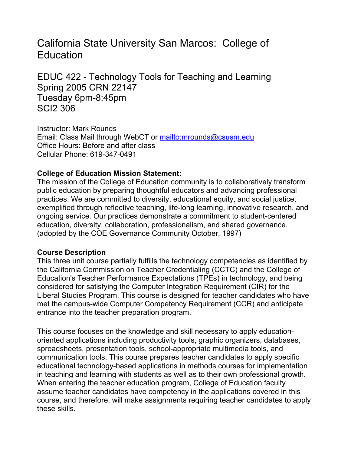# California State University San Marcos: College of **Education**

EDUC 422 - Technology Tools for Teaching and Learning Spring 2005 CRN 22147 Tuesday 6pm-8:45pm SCI2 306

Instructor: Mark Rounds Email: Class Mail through WebCT or mailto:mrounds@csusm.edu Office Hours: Before and after class Cellular Phone: 619-347-0491

## **College of Education Mission Statement:**

The mission of the College of Education community is to collaboratively transform public education by preparing thoughtful educators and advancing professional practices. We are committed to diversity, educational equity, and social justice, exemplified through reflective teaching, life-long learning, innovative research, and ongoing service. Our practices demonstrate a commitment to student-centered education, diversity, collaboration, professionalism, and shared governance. (adopted by the COE Governance Community October, 1997)

### **Course Description**

This three unit course partially fulfills the technology competencies as identified by the California Commission on Teacher Credentialing (CCTC) and the College of Education's Teacher Performance Expectations (TPEs) in technology, and being considered for satisfying the Computer Integration Requirement (CIR) for the Liberal Studies Program. This course is designed for teacher candidates who have met the campus-wide Computer Competency Requirement (CCR) and anticipate entrance into the teacher preparation program.

This course focuses on the knowledge and skill necessary to apply educationoriented applications including productivity tools, graphic organizers, databases, spreadsheets, presentation tools, school-appropriate multimedia tools, and communication tools. This course prepares teacher candidates to apply specific educational technology-based applications in methods courses for implementation in teaching and learning with students as well as to their own professional growth. When entering the teacher education program, College of Education faculty assume teacher candidates have competency in the applications covered in this course, and therefore, will make assignments requiring teacher candidates to apply these skills.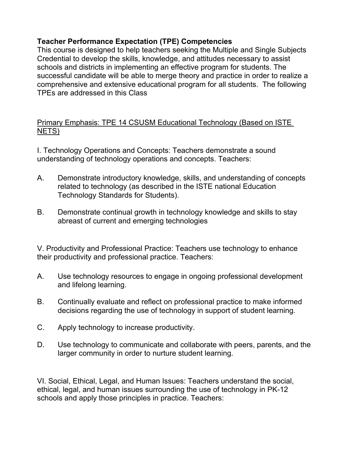## **Teacher Performance Expectation (TPE) Competencies**

This course is designed to help teachers seeking the Multiple and Single Subjects Credential to develop the skills, knowledge, and attitudes necessary to assist schools and districts in implementing an effective program for students. The successful candidate will be able to merge theory and practice in order to realize a comprehensive and extensive educational program for all students. The following TPEs are addressed in this Class

Primary Emphasis: TPE 14 CSUSM Educational Technology (Based on ISTE NETS)

I. Technology Operations and Concepts: Teachers demonstrate a sound understanding of technology operations and concepts. Teachers:

- A. Demonstrate introductory knowledge, skills, and understanding of concepts related to technology (as described in the ISTE national Education Technology Standards for Students).
- B. Demonstrate continual growth in technology knowledge and skills to stay abreast of current and emerging technologies

V. Productivity and Professional Practice: Teachers use technology to enhance their productivity and professional practice. Teachers:

- A. Use technology resources to engage in ongoing professional development and lifelong learning.
- B. Continually evaluate and reflect on professional practice to make informed decisions regarding the use of technology in support of student learning.
- C. Apply technology to increase productivity.
- D. Use technology to communicate and collaborate with peers, parents, and the larger community in order to nurture student learning.

VI. Social, Ethical, Legal, and Human Issues: Teachers understand the social, ethical, legal, and human issues surrounding the use of technology in PK-12 schools and apply those principles in practice. Teachers: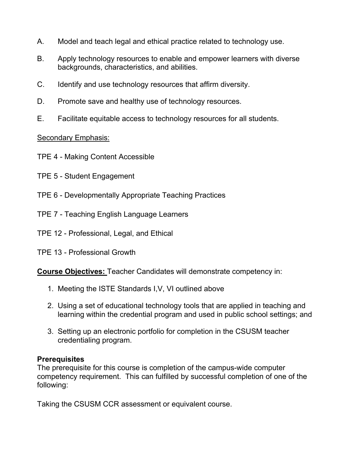- A. Model and teach legal and ethical practice related to technology use.
- B. Apply technology resources to enable and empower learners with diverse backgrounds, characteristics, and abilities.
- C. Identify and use technology resources that affirm diversity.
- D. Promote save and healthy use of technology resources.
- E. Facilitate equitable access to technology resources for all students.

## Secondary Emphasis:

- TPE 4 Making Content Accessible
- TPE 5 Student Engagement
- TPE 6 Developmentally Appropriate Teaching Practices
- TPE 7 Teaching English Language Learners
- TPE 12 Professional, Legal, and Ethical
- TPE 13 Professional Growth

**Course Objectives:** Teacher Candidates will demonstrate competency in:

- 1. Meeting the ISTE Standards I,V, VI outlined above
- 2. Using a set of educational technology tools that are applied in teaching and learning within the credential program and used in public school settings; and
- 3. Setting up an electronic portfolio for completion in the CSUSM teacher credentialing program.

## **Prerequisites**

The prerequisite for this course is completion of the campus-wide computer competency requirement. This can fulfilled by successful completion of one of the following:

Taking the CSUSM CCR assessment or equivalent course.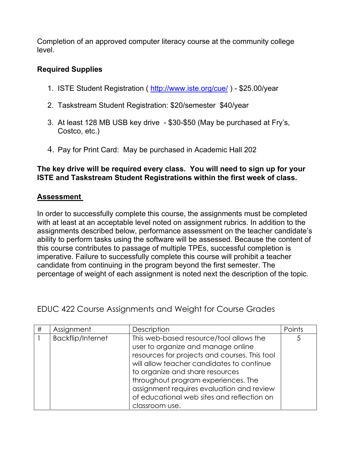Completion of an approved computer literacy course at the community college level.

## **Required Supplies**

- 1. ISTE Student Registration ( http://www.iste.org/cue/ ) \$25.00/year
- 2. Taskstream Student Registration: \$20/semester \$40/year
- 3. At least 128 MB USB key drive \$30-\$50 (May be purchased at Fry's, Costco, etc.)
- 4. Pay for Print Card: May be purchased in Academic Hall 202

### **The key drive will be required every class. You will need to sign up for your ISTE and Taskstream Student Registrations within the first week of class.**

## **Assessment**

In order to successfully complete this course, the assignments must be completed with at least at an acceptable level noted on assignment rubrics. In addition to the assignments described below, performance assessment on the teacher candidate's ability to perform tasks using the software will be assessed. Because the content of this course contributes to passage of multiple TPEs, successful completion is imperative. Failure to successfully complete this course will prohibit a teacher candidate from continuing in the program beyond the first semester. The percentage of weight of each assignment is noted next the description of the topic.

EDUC 422 Course Assignments and Weight for Course Grades

| $\#$ | Assignment               | Description                                                                                                                                                                                                                                                                                                                                                        | Points |
|------|--------------------------|--------------------------------------------------------------------------------------------------------------------------------------------------------------------------------------------------------------------------------------------------------------------------------------------------------------------------------------------------------------------|--------|
|      | <b>Backflip/Internet</b> | This web-based resource/tool allows the<br>user to organize and manage online<br>resources for projects and courses. This tool<br>will allow teacher candidates to continue<br>to organize and share resources<br>throughout program experiences. The<br>assignment requires evaluation and review<br>of educational web sites and reflection on<br>classroom use. | 5      |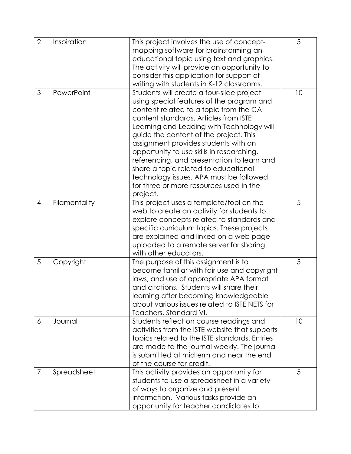| $\overline{2}$ | Inspiration   | This project involves the use of concept-<br>mapping software for brainstorming an<br>educational topic using text and graphics.<br>The activity will provide an opportunity to                                                                                                                                                                                                                                                                                                                                                               | 5  |
|----------------|---------------|-----------------------------------------------------------------------------------------------------------------------------------------------------------------------------------------------------------------------------------------------------------------------------------------------------------------------------------------------------------------------------------------------------------------------------------------------------------------------------------------------------------------------------------------------|----|
|                |               | consider this application for support of<br>writing with students in K-12 classrooms.                                                                                                                                                                                                                                                                                                                                                                                                                                                         |    |
| 3              | PowerPoint    | Students will create a four-slide project<br>using special features of the program and<br>content related to a topic from the CA<br>content standards. Articles from ISTE<br>Learning and Leading with Technology will<br>guide the content of the project. This<br>assignment provides students with an<br>opportunity to use skills in researching,<br>referencing, and presentation to learn and<br>share a topic related to educational<br>technology issues. APA must be followed<br>for three or more resources used in the<br>project. | 10 |
| $\overline{4}$ | Filamentality | This project uses a template/tool on the<br>web to create an activity for students to<br>explore concepts related to standards and<br>specific curriculum topics. These projects<br>are explained and linked on a web page<br>uploaded to a remote server for sharing<br>with other educators.                                                                                                                                                                                                                                                | 5  |
| 5              | Copyright     | The purpose of this assignment is to<br>become familiar with fair use and copyright<br>laws, and use of appropriate APA format<br>and citations. Students will share their<br>learning after becoming knowledgeable<br>about various issues related to ISTE NETS for<br>Teachers, Standard VI.                                                                                                                                                                                                                                                | 5  |
| 6              | Journal       | Students reflect on course readings and<br>activities from the ISTE website that supports<br>topics related to the ISTE standards. Entries<br>are made to the journal weekly. The journal<br>is submitted at midterm and near the end<br>of the course for credit.                                                                                                                                                                                                                                                                            | 10 |
| $\overline{7}$ | Spreadsheet   | This activity provides an opportunity for<br>students to use a spreadsheet in a variety<br>of ways to organize and present<br>information. Various tasks provide an<br>opportunity for teacher candidates to                                                                                                                                                                                                                                                                                                                                  | 5  |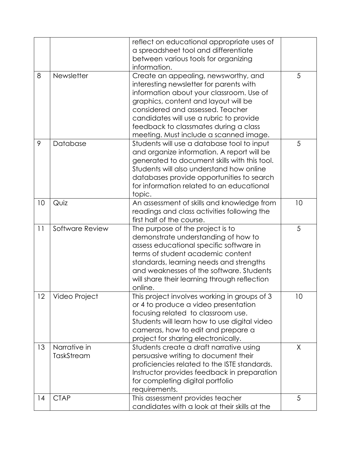|    |                 | reflect on educational appropriate uses of                                           |    |
|----|-----------------|--------------------------------------------------------------------------------------|----|
|    |                 | a spreadsheet tool and differentiate                                                 |    |
|    |                 | between various tools for organizing                                                 |    |
|    |                 | information.                                                                         |    |
| 8  | Newsletter      | Create an appealing, newsworthy, and                                                 | 5  |
|    |                 | interesting newsletter for parents with                                              |    |
|    |                 | information about your classroom. Use of                                             |    |
|    |                 | graphics, content and layout will be                                                 |    |
|    |                 | considered and assessed. Teacher                                                     |    |
|    |                 | candidates will use a rubric to provide                                              |    |
|    |                 | feedback to classmates during a class                                                |    |
|    |                 | meeting. Must include a scanned image.                                               |    |
| 9  | Database        | Students will use a database tool to input                                           | 5  |
|    |                 | and organize information. A report will be                                           |    |
|    |                 | generated to document skills with this tool.                                         |    |
|    |                 | Students will also understand how online                                             |    |
|    |                 | databases provide opportunities to search                                            |    |
|    |                 | for information related to an educational                                            |    |
|    |                 | topic.                                                                               |    |
| 10 | Quiz            | An assessment of skills and knowledge from                                           | 10 |
|    |                 | readings and class activities following the                                          |    |
|    |                 | first half of the course.                                                            |    |
| 11 | Software Review | The purpose of the project is to                                                     | 5  |
|    |                 | demonstrate understanding of how to                                                  |    |
|    |                 | assess educational specific software in                                              |    |
|    |                 | terms of student academic content                                                    |    |
|    |                 | standards, learning needs and strengths                                              |    |
|    |                 | and weaknesses of the software. Students                                             |    |
|    |                 | will share their learning through reflection                                         |    |
|    |                 | online.                                                                              |    |
| 12 | Video Project   | This project involves working in groups of 3                                         | 10 |
|    |                 | or 4 to produce a video presentation                                                 |    |
|    |                 | focusing related to classroom use.                                                   |    |
|    |                 | Students will learn how to use digital video                                         |    |
|    |                 | cameras, how to edit and prepare a                                                   |    |
|    | Narrative in    | project for sharing electronically.                                                  |    |
| 13 |                 | Students create a draft narrative using                                              | X  |
|    | TaskStream      | persuasive writing to document their<br>proficiencies related to the ISTE standards. |    |
|    |                 |                                                                                      |    |
|    |                 | Instructor provides feedback in preparation                                          |    |
|    |                 | for completing digital portfolio<br>requirements.                                    |    |
| 14 | <b>CTAP</b>     | This assessment provides teacher                                                     | 5  |
|    |                 | candidates with a look at their skills at the                                        |    |
|    |                 |                                                                                      |    |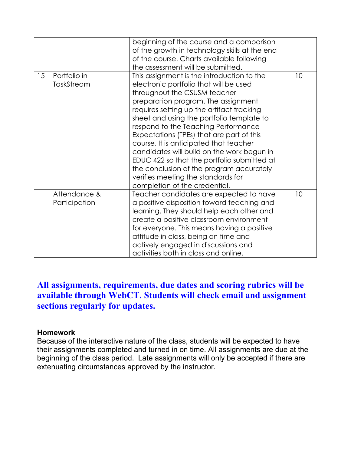|    |               | beginning of the course and a comparison<br>of the growth in technology skills at the end |    |
|----|---------------|-------------------------------------------------------------------------------------------|----|
|    |               | of the course. Charts available following                                                 |    |
|    |               | the assessment will be submitted.                                                         |    |
| 15 | Portfolio in  | This assignment is the introduction to the                                                | 10 |
|    | TaskStream    | electronic portfolio that will be used                                                    |    |
|    |               | throughout the CSUSM teacher                                                              |    |
|    |               | preparation program. The assignment                                                       |    |
|    |               | requires setting up the artifact tracking                                                 |    |
|    |               | sheet and using the portfolio template to                                                 |    |
|    |               | respond to the Teaching Performance                                                       |    |
|    |               | Expectations (TPEs) that are part of this                                                 |    |
|    |               | course. It is anticipated that teacher                                                    |    |
|    |               | candidates will build on the work begun in                                                |    |
|    |               | EDUC 422 so that the portfolio submitted at                                               |    |
|    |               | the conclusion of the program accurately                                                  |    |
|    |               | verifies meeting the standards for                                                        |    |
|    |               | completion of the credential.                                                             |    |
|    | Attendance &  | Teacher candidates are expected to have                                                   | 10 |
|    | Participation | a positive disposition toward teaching and                                                |    |
|    |               | learning. They should help each other and                                                 |    |
|    |               | create a positive classroom environment                                                   |    |
|    |               | for everyone. This means having a positive                                                |    |
|    |               | attitude in class, being on time and                                                      |    |
|    |               | actively engaged in discussions and                                                       |    |
|    |               | activities both in class and online.                                                      |    |
|    |               |                                                                                           |    |

## **All assignments, requirements, due dates and scoring rubrics will be available through WebCT. Students will check email and assignment sections regularly for updates.**

### **Homework**

Because of the interactive nature of the class, students will be expected to have their assignments completed and turned in on time. All assignments are due at the beginning of the class period. Late assignments will only be accepted if there are extenuating circumstances approved by the instructor.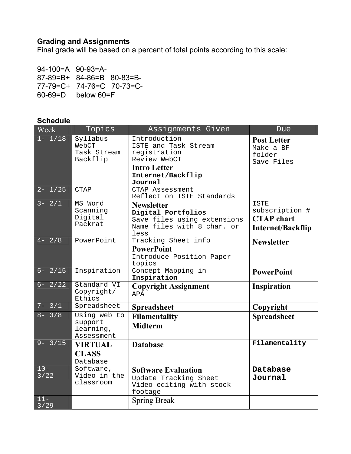## **Grading and Assignments**

Final grade will be based on a percent of total points according to this scale:

94-100=A 90-93=A-87-89=B+ 84-86=B 80-83=B-77-79=C+ 74-76=C 70-73=C-60-69=D below 60=F

### **Schedule**

| Week           | Topics                                             | Assignments Given                                                                                                           | Due                                                                            |
|----------------|----------------------------------------------------|-----------------------------------------------------------------------------------------------------------------------------|--------------------------------------------------------------------------------|
| $1 - 1/18$     | Syllabus<br>WebCT<br>Task Stream<br>Backflip       | Introduction<br>ISTE and Task Stream<br>registration<br>Review WebCT<br><b>Intro Letter</b><br>Internet/Backflip<br>Journal | <b>Post Letter</b><br>Make a BF<br>folder<br>Save Files                        |
| $2 - 1/25$     | <b>CTAP</b>                                        | CTAP Assessment<br>Reflect on ISTE Standards                                                                                |                                                                                |
| $3 - 2/1$      | MS Word<br>Scanning<br>Digital<br>Packrat          | <b>Newsletter</b><br>Digital Portfolios<br>Save files using extensions<br>Name files with 8 char. or<br>less                | <b>ISTE</b><br>subscription #<br><b>CTAP</b> chart<br><b>Internet/Backflip</b> |
| $4 - 2/8$      | PowerPoint                                         | Tracking Sheet info<br><b>PowerPoint</b><br>Introduce Position Paper<br>topics                                              | <b>Newsletter</b>                                                              |
| $5 - 2/15$     | Inspiration                                        | Concept Mapping in<br>Inspiration                                                                                           | <b>PowerPoint</b>                                                              |
| $6 - 2/22$     | Standard VI<br>Copyright/<br>Ethics                | <b>Copyright Assignment</b><br>APA                                                                                          | <b>Inspiration</b>                                                             |
| $7 - 3/1$      | Spreadsheet                                        | <b>Spreadsheet</b>                                                                                                          | Copyright                                                                      |
| $8 - 3/8$      | Using web to<br>support<br>learning,<br>Assessment | <b>Filamentality</b><br><b>Midterm</b>                                                                                      | <b>Spreadsheet</b>                                                             |
| $9 - 3/15$     | <b>VIRTUAL</b><br><b>CLASS</b><br>Database         | <b>Database</b>                                                                                                             | Filamentality                                                                  |
| $10 -$<br>3/22 | Software,<br>Video in the<br>classroom             | <b>Software Evaluation</b><br>Update Tracking Sheet<br>Video editing with stock<br>footage                                  | Database<br>Journal                                                            |
| $11 -$<br>3/29 |                                                    | <b>Spring Break</b>                                                                                                         |                                                                                |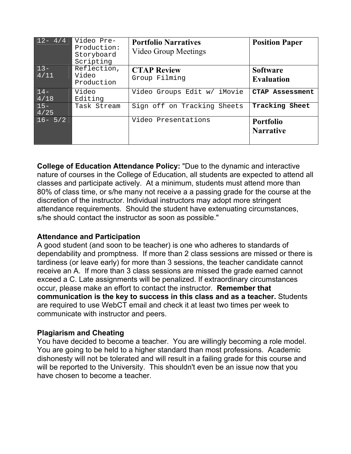| $12 - 4/4$     | Video Pre-<br>Production:<br>Storyboard<br>Scripting | <b>Portfolio Narratives</b><br>Video Group Meetings | <b>Position Paper</b>                |
|----------------|------------------------------------------------------|-----------------------------------------------------|--------------------------------------|
| $13-$<br>4/11  | Reflection,<br>Video<br>Production                   | <b>CTAP Review</b><br>Group Filming                 | <b>Software</b><br><b>Evaluation</b> |
| $14-$<br>4/18  | Video<br>Editing                                     | Video Groups Edit w/<br>iMovie                      | <b>CTAP Assessment</b>               |
| $15 -$<br>4/25 | Task Stream                                          | Sign off on Tracking Sheets                         | Tracking Sheet                       |
| $16 - 5/2$     |                                                      | Video Presentations                                 | <b>Portfolio</b><br><b>Narrative</b> |

**College of Education Attendance Policy:** "Due to the dynamic and interactive nature of courses in the College of Education, all students are expected to attend all classes and participate actively. At a minimum, students must attend more than 80% of class time, or s/he many not receive a a passing grade for the course at the discretion of the instructor. Individual instructors may adopt more stringent attendance requirements. Should the student have extenuating circumstances, s/he should contact the instructor as soon as possible."

## **Attendance and Participation**

A good student (and soon to be teacher) is one who adheres to standards of dependability and promptness. If more than 2 class sessions are missed or there is tardiness (or leave early) for more than 3 sessions, the teacher candidate cannot receive an A. If more than 3 class sessions are missed the grade earned cannot exceed a C. Late assignments will be penalized. If extraordinary circumstances occur, please make an effort to contact the instructor. **Remember that communication is the key to success in this class and as a teacher.** Students are required to use WebCT email and check it at least two times per week to communicate with instructor and peers.

## **Plagiarism and Cheating**

You have decided to become a teacher. You are willingly becoming a role model. You are going to be held to a higher standard than most professions. Academic dishonesty will not be tolerated and will result in a failing grade for this course and will be reported to the University. This shouldn't even be an issue now that you have chosen to become a teacher.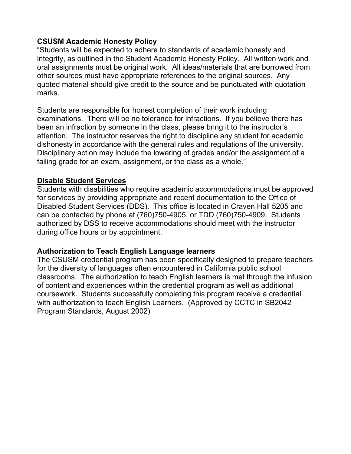## **CSUSM Academic Honesty Policy**

"Students will be expected to adhere to standards of academic honesty and integrity, as outlined in the Student Academic Honesty Policy. All written work and oral assignments must be original work. All ideas/materials that are borrowed from other sources must have appropriate references to the original sources. Any quoted material should give credit to the source and be punctuated with quotation marks.

Students are responsible for honest completion of their work including examinations. There will be no tolerance for infractions. If you believe there has been an infraction by someone in the class, please bring it to the instructor's attention. The instructor reserves the right to discipline any student for academic dishonesty in accordance with the general rules and regulations of the university. Disciplinary action may include the lowering of grades and/or the assignment of a failing grade for an exam, assignment, or the class as a whole."

## **Disable Student Services**

Students with disabilities who require academic accommodations must be approved for services by providing appropriate and recent documentation to the Office of Disabled Student Services (DDS). This office is located in Craven Hall 5205 and can be contacted by phone at (760)750-4905, or TDD (760)750-4909. Students authorized by DSS to receive accommodations should meet with the instructor during office hours or by appointment.

## **Authorization to Teach English Language learners**

The CSUSM credential program has been specifically designed to prepare teachers for the diversity of languages often encountered in California public school classrooms. The authorization to teach English learners is met through the infusion of content and experiences within the credential program as well as additional coursework. Students successfully completing this program receive a credential with authorization to teach English Learners. (Approved by CCTC in SB2042 Program Standards, August 2002)